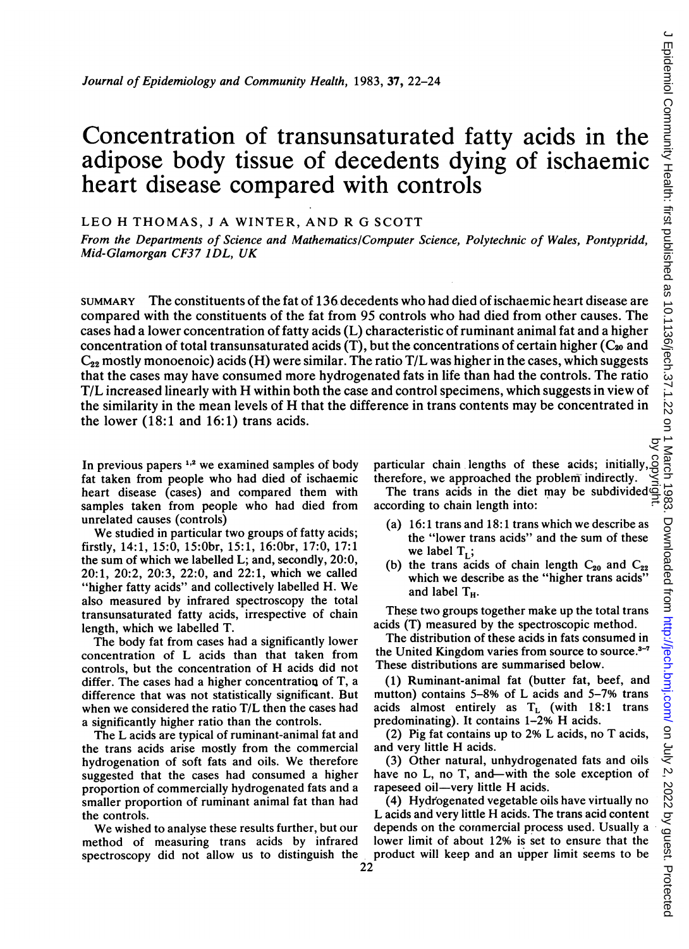# Concentration of transunsaturated fatty acids in the adipose body tissue of decedents dying of ischaemic heart disease compared with controls

LEO H THOMAS, <sup>J</sup> A WINTER, AND R G SCOTT

From the Departments of Science and Mathematics/Computer Science, Polytechnic of Wales, Pontypridd, Mid-Glamorgan CF37 IDL, UK

SUMMARY The constituents of the fat of 136. decedents who had died of ischaemic heart disease are compared with the constituents of the fat from 95 controls who had died from other causes. The cases had a lower concentration of fatty acids (L) characteristic of ruminant animal fat and a higher concentration of total transunsaturated acids (T), but the concentrations of certain higher ( $C_{20}$  and  $C_{22}$  mostly monoenoic) acids (H) were similar. The ratio T/L was higher in the cases, which suggests that the cases may have consumed more hydrogenated fats in life than had the controls. The ratio T/L increased linearly with H within both the case and control specimens, which suggests in view of the similarity in the mean levels of H that the difference in trans contents may be concentrated in the lower (18:1 and 16:1) trans acids.

In previous papers  $1,2$  we examined samples of body fat taken from people who had died of ischaemic heart disease (cases) and compared them with samples taken from people who had died from unrelated causes (controls)

We studied in particular two groups of fatty acids; firstly, 14:1, 15:0, 15:Obr, 15:1, 16:Obr, 17:0, 17:1 the sum of which we labelled L; and, secondly, 20:0, 20:1, 20:2, 20:3, 22:0, and 22:1, which we called "higher fatty acids" and collectively labelled H. We also measured by infrared spectroscopy the total transunsaturated fatty acids, irrespective of chain length, which we labelled T.

The body fat from cases had a significantly lower concentration of L acids than that taken from controls, but the concentration of H acids did not differ. The cases had a higher concentration of T, a difference that was not statistically significant. But when we considered the ratio T/L then the cases had a significantly higher ratio than the controls.

The L acids are typical of ruminant-animal fat and the trans acids arise mostly from the commercial hydrogenation of soft fats and oils. We therefore suggested that the cases had consumed a higher proportion of commercially hydrogenated fats and a smaller proportion of ruminant animal fat than had the controls.

We wished to analyse these results further, but our method of measuring trans acids by infrared spectroscopy did not allow us to distinguish the particular chain lengths of these acids; initially, therefore, we approached the problem indirectly.

The trans acids in the diet may be subdivided according to chain length into: by copyright.

- (a) 16:1 trans and 18:1 trans which we describe as the "lower trans acids" and the sum of these we label  $T_L$ ;
- (b) the trans acids of chain length  $C_{20}$  and  $C_{22}$ which we describe as the "higher trans acids" and label T<sub>u</sub>.

These two groups together make up the total trans acids (T) measured by the spectroscopic method.

The distribution of these acids in fats consumed in the United Kingdom varies from source to source.<sup>3-7</sup> These distributions are summarised below.

(1) Ruminant-animal fat (butter fat, beef, and mutton) contains 5-8% of L acids and 5-7% trans acids almost entirely as  $T<sub>L</sub>$  (with 18:1 trans predominating). It contains 1-2% H acids.

(2) Pig fat contains up to 2% L acids, no T acids, and very little H acids.

(3) Other natural, unhydrogenated fats and oils have no L, no T, and—with the sole exception of rapeseed oil—very little H acids.

(4) Hydrogenated vegetable oils have virtually no L acids and very little H acids. The trans acid content depends on the cornmercial process used. Usually a lower limit of about 12% is set to ensure that the product will keep and an upper limit seems to be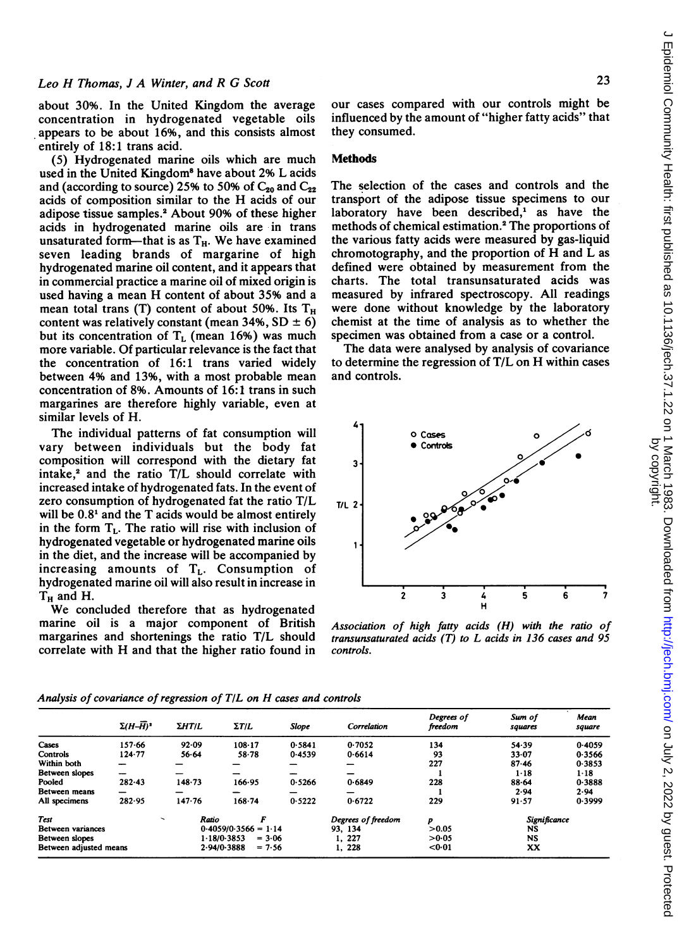about 30%. In the United Kingdom the average concentration in hydrogenated vegetable oils appears to be about 16%, and this consists almost entirely of 18:1 trans acid.

(5) Hydrogenated marine oils which are much used in the United Kingdom<sup>8</sup> have about 2% L acids and (according to source) 25% to 50% of  $C_{20}$  and  $C_{22}$ acids of composition similar to the H acids of our adipose tissue samples.2 About 90% of these higher acids in hydrogenated marine oils are in trans unsaturated form-that is as  $T_H$ . We have examined seven leading brands of margarine of high hydrogenated marine oil content, and it appears that in commercial practice a marine oil of mixed origin is used having <sup>a</sup> mean H content of about 35% and <sup>a</sup> mean total trans (T) content of about 50%. Its  $T_H$ content was relatively constant (mean 34%,  $SD \pm 6$ ) but its concentration of  $T<sub>L</sub>$  (mean 16%) was much more variable. Of particular relevance is the fact that the concentration of 16:1 trans varied widely between 4% and 13%, with <sup>a</sup> most probable mean concentration of 8%. Amounts of 16:1 trans in such margarines are therefore highly variable, even at similar levels of H.

The individual patterns of fat consumption will vary between individuals but the body fat composition will correspond with the dietary fat  $intake<sub>1</sub><sup>2</sup>$  and the ratio T/L should correlate with increased intake of hydrogenated fats. In the event of zero consumption of hydrogenated fat the ratio T/L will be  $0.8<sup>1</sup>$  and the T acids would be almost entirely in the form  $T<sub>L</sub>$ . The ratio will rise with inclusion of hydrogenated vegetable or hydrogenated marine oils in the diet, and the increase will be accompanied by increasing amounts of  $T_L$ . Consumption of hydrogenated marine oil will also result in increase in  $T_H$  and H.

We concluded therefore that as hydrogenated marine oil is a major component of British margarines and shortenings the ratio T/L should correlate with H and that the higher ratio found in our cases compared with our controls might be influenced by the amount of "higher fatty acids" that they consumed.

### **Methods**

The selection of the cases and controls and the transport of the adipose tissue specimens to our laboratory have been described,<sup>1</sup> as have the methods of chemical estimation.2 The proportions of the various fatty acids were measured by gas-liquid chromotography, and the proportion of H and L as defined were obtained by measurement from the charts. The total transunsaturated acids was measured by infrared spectroscopy. All readings were done without knowledge by the laboratory chemist at the time of analysis as to whether the specimen was obtained from a case or a control.

The data were analysed by analysis of covariance to determine the regression of T/L on H within cases and controls.



Association of high fatty acids (H) with the ratio of transunsaturated acids (T) to L acids in 136 cases and 95 controls.

|                          | $\Sigma (H-\overline{H})^2$            | <b><i>ΣΗΤΙL</i></b>     | $\Sigma T/L$            | <b>Slope</b> | Correlation  | Degrees of<br>freedom | Sum of<br>squares | Mean<br>square |
|--------------------------|----------------------------------------|-------------------------|-------------------------|--------------|--------------|-----------------------|-------------------|----------------|
| Cases                    | 157-66                                 | 92.09                   | 108.17                  | 0.5841       | 0.7052       | 134                   | 54.39             | 0.4059         |
| Controls                 | 124.77                                 | $56 - 64$               | 58.78                   | 0.4539       | 0.6614       | 93                    | 33.07             | 0.3566         |
| Within both              |                                        |                         |                         |              |              | 227                   | 87.46             | 0.3853         |
| Between slopes           |                                        |                         |                         |              |              |                       | $1 - 18$          | $1 - 18$       |
| Pooled                   | $282 - 43$                             | 148.73                  | 166.95                  | 0.5266       | 0.6849       | 228                   | 88.64             | 0.3888         |
| <b>Between</b> means     | -                                      | -                       |                         |              |              |                       | 2.94              | 2.94           |
| All specimens            | 282.95                                 | 147.76                  | $168 - 74$              | 0.5222       | 0.6722       | 229                   | 91.57             | 0.3999         |
| <b>Test</b>              | F<br>Ratio<br>$\overline{\phantom{0}}$ |                         | Degrees of freedom      | P            | Significance |                       |                   |                |
| <b>Between</b> variances |                                        | $0.4059/0.3566 = 1.14$  |                         |              | 93.134       | >0.05                 | NS                |                |
| Between slopes           |                                        | 1.18/0.3853<br>$= 3.06$ |                         |              | 1, 227       | >0.05                 | <b>NS</b>         |                |
| Between adjusted means   |                                        |                         | 2.94/0.3888<br>$= 7.56$ |              | 228          | < 0.01                | XX                |                |

Analysis of covariance of regression of  $T/L$  on  $H$  cases and controls